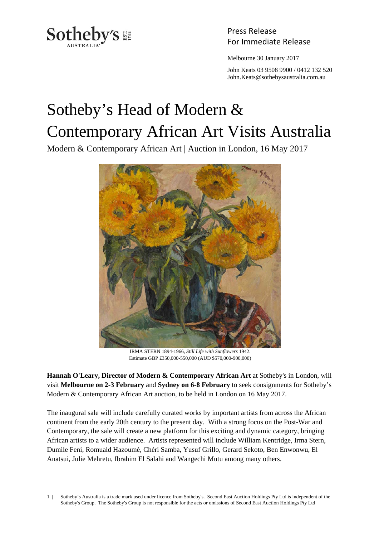

Press Release

Melbourne 30 January 2017

 John Keats 03 9508 9900 / 0412 132 520 John.Keats@sothebysaustralia.com.au

## Sotheby's Head of Modern & Contemporary African Art Visits Australia

Modern & Contemporary African Art | Auction in London, 16 May 2017



IRMA STERN 1894-1966, *Still Life with Sunflowers* 1942. Estimate GBP £350,000-550,000 (AUD \$570,000-900,000)

**Hannah O'Leary, Director of Modern & Contemporary African Art** at Sotheby's in London, will visit **Melbourne on 2-3 February** and **Sydney on 6-8 February** to seek consignments for Sotheby's Modern & Contemporary African Art auction, to be held in London on 16 May 2017.

The inaugural sale will include carefully curated works by important artists from across the African continent from the early 20th century to the present day. With a strong focus on the Post-War and Contemporary, the sale will create a new platform for this exciting and dynamic category, bringing African artists to a wider audience. Artists represented will include William Kentridge, Irma Stern, Dumile Feni, Romuald Hazoumè, Chéri Samba, Yusuf Grillo, Gerard Sekoto, Ben Enwonwu, El Anatsui, Julie Mehretu, Ibrahim El Salahi and Wangechi Mutu among many others.

1 | Sotheby's Australia is a trade mark used under licence from Sotheby's. Second East Auction Holdings Pty Ltd is independent of the Sotheby's Group. The Sotheby's Group is not responsible for the acts or omissions of Second East Auction Holdings Pty Ltd